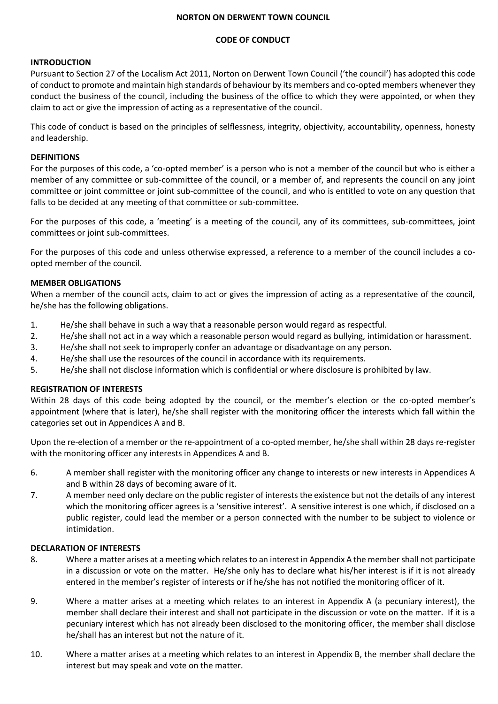#### **NORTON ON DERWENT TOWN COUNCIL**

# **CODE OF CONDUCT**

### **INTRODUCTION**

Pursuant to Section 27 of the Localism Act 2011, Norton on Derwent Town Council ('the council') has adopted this code of conduct to promote and maintain high standards of behaviour by its members and co-opted members whenever they conduct the business of the council, including the business of the office to which they were appointed, or when they claim to act or give the impression of acting as a representative of the council.

This code of conduct is based on the principles of selflessness, integrity, objectivity, accountability, openness, honesty and leadership.

### **DEFINITIONS**

For the purposes of this code, a 'co-opted member' is a person who is not a member of the council but who is either a member of any committee or sub-committee of the council, or a member of, and represents the council on any joint committee or joint committee or joint sub-committee of the council, and who is entitled to vote on any question that falls to be decided at any meeting of that committee or sub-committee.

For the purposes of this code, a 'meeting' is a meeting of the council, any of its committees, sub-committees, joint committees or joint sub-committees.

For the purposes of this code and unless otherwise expressed, a reference to a member of the council includes a coopted member of the council.

# **MEMBER OBLIGATIONS**

When a member of the council acts, claim to act or gives the impression of acting as a representative of the council, he/she has the following obligations.

- 1. He/she shall behave in such a way that a reasonable person would regard as respectful.
- 2. He/she shall not act in a way which a reasonable person would regard as bullying, intimidation or harassment.
- 3. He/she shall not seek to improperly confer an advantage or disadvantage on any person.
- 4. He/she shall use the resources of the council in accordance with its requirements.
- 5. He/she shall not disclose information which is confidential or where disclosure is prohibited by law.

#### **REGISTRATION OF INTERESTS**

Within 28 days of this code being adopted by the council, or the member's election or the co-opted member's appointment (where that is later), he/she shall register with the monitoring officer the interests which fall within the categories set out in Appendices A and B.

Upon the re-election of a member or the re-appointment of a co-opted member, he/she shall within 28 days re-register with the monitoring officer any interests in Appendices A and B.

- 6. A member shall register with the monitoring officer any change to interests or new interests in Appendices A and B within 28 days of becoming aware of it.
- 7. A member need only declare on the public register of interests the existence but not the details of any interest which the monitoring officer agrees is a 'sensitive interest'. A sensitive interest is one which, if disclosed on a public register, could lead the member or a person connected with the number to be subject to violence or intimidation.

### **DECLARATION OF INTERESTS**

- 8. Where a matter arises at a meeting which relates to an interest in Appendix A the member shall not participate in a discussion or vote on the matter. He/she only has to declare what his/her interest is if it is not already entered in the member's register of interests or if he/she has not notified the monitoring officer of it.
- 9. Where a matter arises at a meeting which relates to an interest in Appendix A (a pecuniary interest), the member shall declare their interest and shall not participate in the discussion or vote on the matter. If it is a pecuniary interest which has not already been disclosed to the monitoring officer, the member shall disclose he/shall has an interest but not the nature of it.
- 10. Where a matter arises at a meeting which relates to an interest in Appendix B, the member shall declare the interest but may speak and vote on the matter.